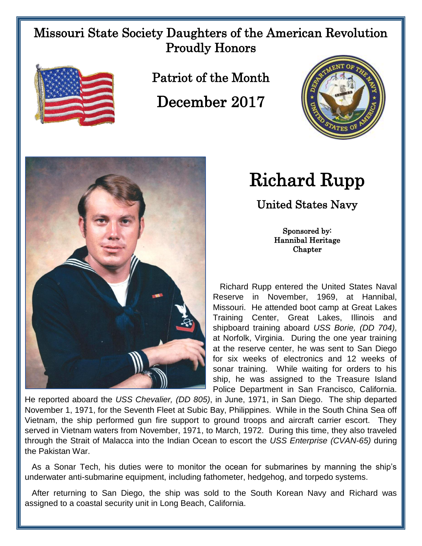## Missouri State Society Daughters of the American Revolution Proudly Honors



Patriot of the Month

December 2017



## Richard Rupp

United States Navy

Sponsored by: Hannibal Heritage Chapter

 Richard Rupp entered the United States Naval Reserve in November, 1969, at Hannibal, Missouri. He attended boot camp at Great Lakes Training Center, Great Lakes, Illinois and shipboard training aboard *USS Borie, (DD 704)*, at Norfolk, Virginia. During the one year training at the reserve center, he was sent to San Diego for six weeks of electronics and 12 weeks of sonar training. While waiting for orders to his ship, he was assigned to the Treasure Island Police Department in San Francisco, California.

He reported aboard the *USS Chevalier, (DD 805)*, in June, 1971, in San Diego. The ship departed November 1, 1971, for the Seventh Fleet at Subic Bay, Philippines. While in the South China Sea off Vietnam, the ship performed gun fire support to ground troops and aircraft carrier escort. They served in Vietnam waters from November, 1971, to March, 1972. During this time, they also traveled through the Strait of Malacca into the Indian Ocean to escort the *USS Enterprise (CVAN-65)* during the Pakistan War.

 As a Sonar Tech, his duties were to monitor the ocean for submarines by manning the ship's underwater anti-submarine equipment, including fathometer, hedgehog, and torpedo systems.

 After returning to San Diego, the ship was sold to the South Korean Navy and Richard was assigned to a coastal security unit in Long Beach, California.